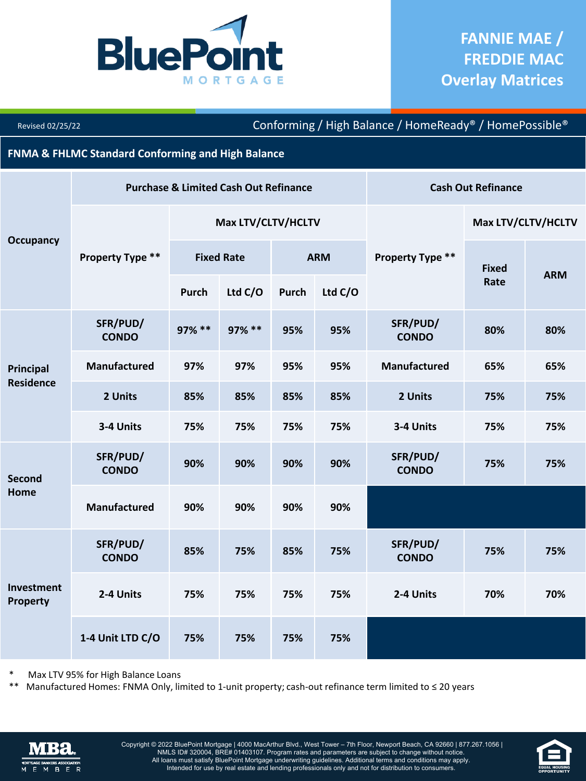

Revised 02/25/22

Conforming / High Balance / HomeReady® / HomePossible®

**FNMA & FHLMC Standard Conforming and High Balance**

| <b>Occupancy</b>              | <b>Purchase &amp; Limited Cash Out Refinance</b> |                    |           |            | <b>Cash Out Refinance</b> |                          |                    |            |
|-------------------------------|--------------------------------------------------|--------------------|-----------|------------|---------------------------|--------------------------|--------------------|------------|
|                               |                                                  | Max LTV/CLTV/HCLTV |           |            |                           |                          | Max LTV/CLTV/HCLTV |            |
|                               | <b>Property Type **</b>                          | <b>Fixed Rate</b>  |           | <b>ARM</b> |                           | Property Type **         | <b>Fixed</b>       |            |
|                               |                                                  | <b>Purch</b>       | Ltd $C/O$ | Purch      | Ltd C/O                   |                          | Rate               | <b>ARM</b> |
|                               | SFR/PUD/<br><b>CONDO</b>                         | 97% **             | 97% **    | 95%        | 95%                       | SFR/PUD/<br><b>CONDO</b> | 80%                | 80%        |
| Principal<br><b>Residence</b> | Manufactured                                     | 97%                | 97%       | 95%        | 95%                       | Manufactured             | 65%                | 65%        |
|                               | 2 Units                                          | 85%                | 85%       | 85%        | 85%                       | 2 Units                  | 75%                | 75%        |
|                               | 3-4 Units                                        | 75%                | 75%       | 75%        | 75%                       | 3-4 Units                | 75%                | 75%        |
| Second<br>Home                | SFR/PUD/<br><b>CONDO</b>                         | 90%                | 90%       | 90%        | 90%                       | SFR/PUD/<br><b>CONDO</b> | 75%                | 75%        |
|                               | Manufactured                                     | 90%                | 90%       | 90%        | 90%                       |                          |                    |            |
| <b>Investment</b><br>Property | SFR/PUD/<br><b>CONDO</b>                         | 85%                | 75%       | 85%        | 75%                       | SFR/PUD/<br><b>CONDO</b> | 75%                | 75%        |
|                               | 2-4 Units                                        | 75%                | 75%       | 75%        | 75%                       | 2-4 Units                | 70%                | 70%        |
|                               | 1-4 Unit LTD C/O                                 | 75%                | 75%       | 75%        | 75%                       |                          |                    |            |

Max LTV 95% for High Balance Loans

\*\* Manufactured Homes: FNMA Only, limited to 1-unit property; cash-out refinance term limited to ≤ 20 years



Copyright © 2022 BluePoint Mortgage | 4000 MacArthur Blvd., West Tower – 7th Floor, Newport Beach, CA 92660 | 877.267.1056 | \_ NMLS ID# 320004, BRE# 01403107. Program rates and parameters are subject to change without notice.<br>All loans must satisfy BluePoint Mortgage underwriting guidelines. Additional terms and conditions may apply.<br>\_\_\_\_\_\_\_\_\_\_

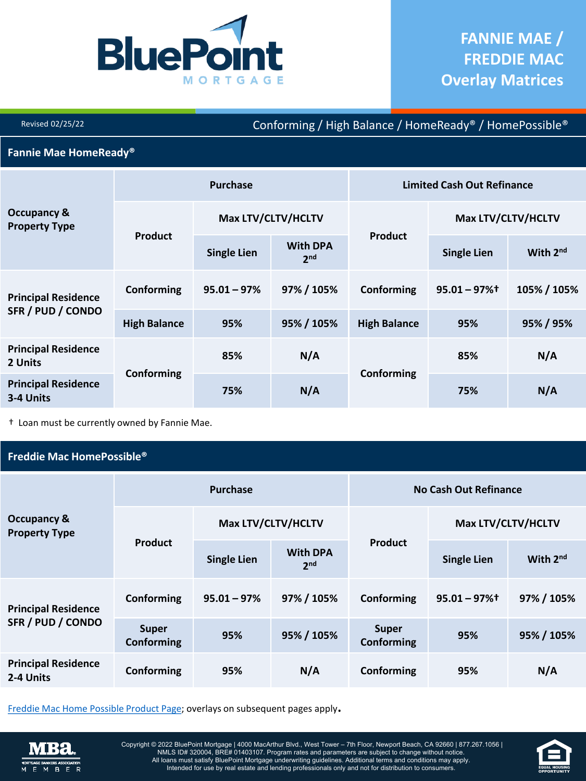

Revised 02/25/22

Conforming / High Balance / HomeReady® / HomePossible®

## **Fannie Mae HomeReady®**

|                                         | <b>Purchase</b>     |                    |                                    | <b>Limited Cash Out Refinance</b> |                             |             |
|-----------------------------------------|---------------------|--------------------|------------------------------------|-----------------------------------|-----------------------------|-------------|
| Occupancy &<br><b>Property Type</b>     | <b>Product</b>      | Max LTV/CLTV/HCLTV |                                    |                                   | Max LTV/CLTV/HCLTV          |             |
|                                         |                     | <b>Single Lien</b> | <b>With DPA</b><br>2 <sub>nd</sub> | Product                           | <b>Single Lien</b>          | With 2nd    |
| <b>Principal Residence</b>              | Conforming          | $95.01 - 97%$      | 97% / 105%                         | Conforming                        | $95.01 - 97\%$ <sup>†</sup> | 105% / 105% |
| SFR / PUD / CONDO                       | <b>High Balance</b> | 95%                | 95% / 105%                         | <b>High Balance</b>               | 95%                         | 95% / 95%   |
| <b>Principal Residence</b><br>2 Units   |                     | 85%                | N/A                                |                                   | 85%                         | N/A         |
| <b>Principal Residence</b><br>3-4 Units | Conforming          | 75%                | N/A                                | Conforming                        | 75%                         | N/A         |

† Loan must be currently owned by Fannie Mae.

## **Freddie Mac HomePossible®**

|                                                | <b>Purchase</b>            |                    |                                    | <b>No Cash Out Refinance</b> |                    |            |
|------------------------------------------------|----------------------------|--------------------|------------------------------------|------------------------------|--------------------|------------|
| <b>Occupancy &amp;</b><br><b>Property Type</b> | <b>Product</b>             | Max LTV/CLTV/HCLTV |                                    |                              | Max LTV/CLTV/HCLTV |            |
|                                                |                            | <b>Single Lien</b> | <b>With DPA</b><br>2 <sub>nd</sub> | <b>Product</b>               | <b>Single Lien</b> | With 2nd   |
| <b>Principal Residence</b>                     | Conforming                 | $95.01 - 97\%$     | 97% / 105%                         | Conforming                   | $95.01 - 97\%$ t   | 97% / 105% |
| SFR / PUD / CONDO                              | <b>Super</b><br>Conforming | 95%                | 95% / 105%                         | <b>Super</b><br>Conforming   | 95%                | 95% / 105% |
| <b>Principal Residence</b><br>2-4 Units        | Conforming                 | 95%                | N/A                                | Conforming                   | 95%                | N/A        |

[Freddie Mac Home Possible Product Page](https://sf.freddiemac.com/content/_assets/resources/pdf/fact-sheet/home_possible_factsheet.pdf); overlays on subsequent pages apply.



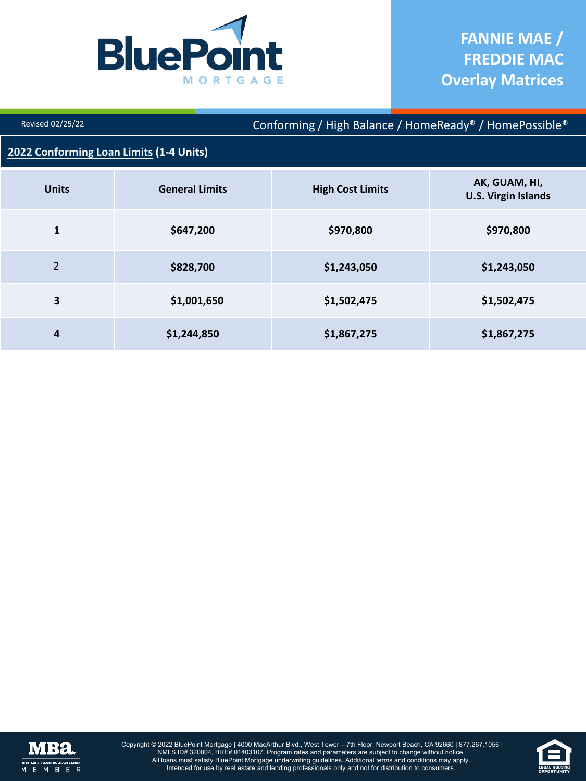

Revised 02/25/22

Conforming / High Balance / HomeReady® / HomePossible®

## **2022 [Conforming Loan Limits](https://singlefamily.fanniemae.com/originating-underwriting/loan-limits) (1-4 Units)**

| <b>Units</b>   | <b>General Limits</b> | <b>High Cost Limits</b> | AK, GUAM, HI,<br><b>U.S. Virgin Islands</b> |
|----------------|-----------------------|-------------------------|---------------------------------------------|
| 1              | \$647,200             | \$970,800               | \$970,800                                   |
| $\overline{2}$ | \$828,700             | \$1,243,050             | \$1,243,050                                 |
| 3              | \$1,001,650           | \$1,502,475             | \$1,502,475                                 |
| 4              | \$1,244,850           | \$1,867,275             | \$1,867,275                                 |



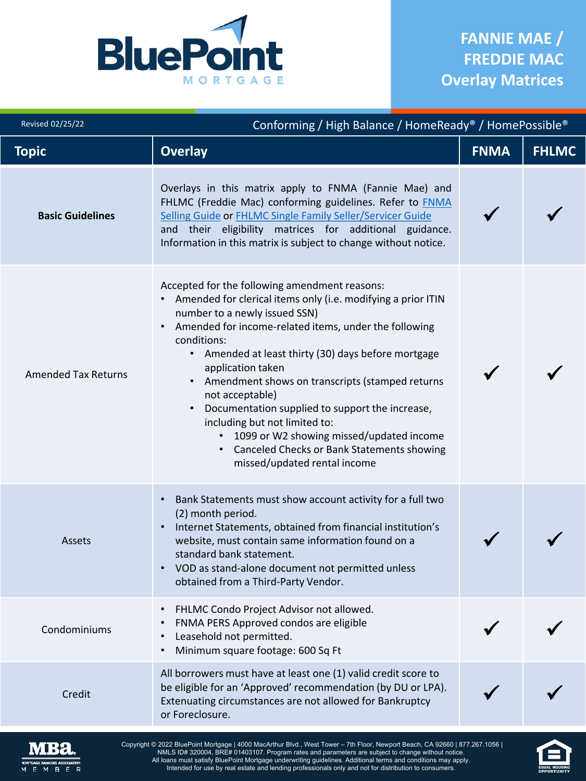

| Revised 02/25/22           | Conforming / High Balance / HomeReady® / HomePossible®                                                                                                                                                                                                                                                                                                                                                                                                                                                                                                                                       |             |              |  |  |
|----------------------------|----------------------------------------------------------------------------------------------------------------------------------------------------------------------------------------------------------------------------------------------------------------------------------------------------------------------------------------------------------------------------------------------------------------------------------------------------------------------------------------------------------------------------------------------------------------------------------------------|-------------|--------------|--|--|
| <b>Topic</b>               | <b>Overlay</b>                                                                                                                                                                                                                                                                                                                                                                                                                                                                                                                                                                               | <b>FNMA</b> | <b>FHLMC</b> |  |  |
| <b>Basic Guidelines</b>    | Overlays in this matrix apply to FNMA (Fannie Mae) and<br>FHLMC (Freddie Mac) conforming guidelines. Refer to FNMA<br>Selling Guide or FHLMC Single Family Seller/Servicer Guide<br>and their eligibility matrices for additional guidance.<br>Information in this matrix is subject to change without notice.                                                                                                                                                                                                                                                                               |             |              |  |  |
| <b>Amended Tax Returns</b> | Accepted for the following amendment reasons:<br>• Amended for clerical items only (i.e. modifying a prior ITIN<br>number to a newly issued SSN)<br>Amended for income-related items, under the following<br>conditions:<br>• Amended at least thirty (30) days before mortgage<br>application taken<br>• Amendment shows on transcripts (stamped returns<br>not acceptable)<br>Documentation supplied to support the increase,<br>including but not limited to:<br>• 1099 or W2 showing missed/updated income<br>Canceled Checks or Bank Statements showing<br>missed/updated rental income |             |              |  |  |
| Assets                     | Bank Statements must show account activity for a full two<br>$\bullet$<br>(2) month period.<br>Internet Statements, obtained from financial institution's<br>$\bullet$<br>website, must contain same information found on a<br>standard bank statement.<br>VOD as stand-alone document not permitted unless<br>obtained from a Third-Party Vendor.                                                                                                                                                                                                                                           |             |              |  |  |
| Condominiums               | FHLMC Condo Project Advisor not allowed.<br>FNMA PERS Approved condos are eligible<br>Leasehold not permitted.<br>Minimum square footage: 600 Sq Ft                                                                                                                                                                                                                                                                                                                                                                                                                                          |             |              |  |  |
| Credit                     | All borrowers must have at least one (1) valid credit score to<br>be eligible for an 'Approved' recommendation (by DU or LPA).<br>Extenuating circumstances are not allowed for Bankruptcy<br>or Foreclosure.                                                                                                                                                                                                                                                                                                                                                                                |             |              |  |  |
| EMBE                       | Copyright © 2022 BluePoint Mortgage   4000 MacArthur Blvd., West Tower – 7th Floor, Newport Beach, CA 92660   877.267.1056  <br>NMLS ID# 320004, BRE# 01403107. Program rates and parameters are subject to change without notice.<br>All loans must satisfy BluePoint Mortgage underwriting guidelines. Additional terms and conditions may apply.<br>Intended for use by real estate and lending professionals only and not for distribution to consumers.                                                                                                                                 |             |              |  |  |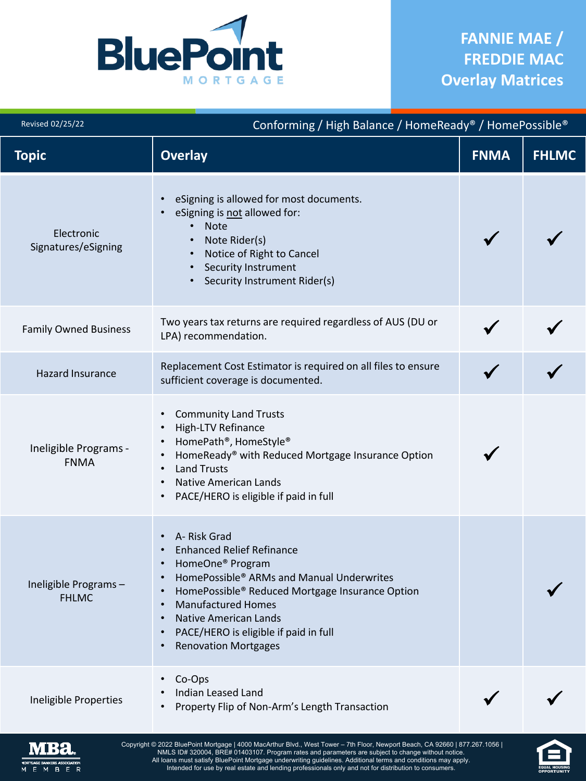

| Revised 02/25/22                     | Conforming / High Balance / HomeReady® / HomePossible®                                                                                                                                                                                                                                                   |             |              |  |  |  |
|--------------------------------------|----------------------------------------------------------------------------------------------------------------------------------------------------------------------------------------------------------------------------------------------------------------------------------------------------------|-------------|--------------|--|--|--|
| <b>Topic</b>                         | <b>Overlay</b>                                                                                                                                                                                                                                                                                           | <b>FNMA</b> | <b>FHLMC</b> |  |  |  |
| Electronic<br>Signatures/eSigning    | eSigning is allowed for most documents.<br>eSigning is not allowed for:<br><b>Note</b><br>Note Rider(s)<br>Notice of Right to Cancel<br><b>Security Instrument</b><br>Security Instrument Rider(s)                                                                                                       |             |              |  |  |  |
| <b>Family Owned Business</b>         | Two years tax returns are required regardless of AUS (DU or<br>LPA) recommendation.                                                                                                                                                                                                                      |             |              |  |  |  |
| <b>Hazard Insurance</b>              | Replacement Cost Estimator is required on all files to ensure<br>sufficient coverage is documented.                                                                                                                                                                                                      |             |              |  |  |  |
| Ineligible Programs -<br><b>FNMA</b> | <b>Community Land Trusts</b><br>High-LTV Refinance<br>HomePath <sup>®</sup> , HomeStyle <sup>®</sup><br>HomeReady® with Reduced Mortgage Insurance Option<br><b>Land Trusts</b><br><b>Native American Lands</b><br>$\bullet$<br>PACE/HERO is eligible if paid in full                                    |             |              |  |  |  |
| Ineligible Programs-<br><b>FHLMC</b> | A-Risk Grad<br><b>Enhanced Relief Refinance</b><br>HomeOne® Program<br>HomePossible® ARMs and Manual Underwrites<br>HomePossible® Reduced Mortgage Insurance Option<br><b>Manufactured Homes</b><br><b>Native American Lands</b><br>PACE/HERO is eligible if paid in full<br><b>Renovation Mortgages</b> |             |              |  |  |  |
| Ineligible Properties                | Co-Ops<br>Indian Leased Land<br>Property Flip of Non-Arm's Length Transaction                                                                                                                                                                                                                            |             |              |  |  |  |



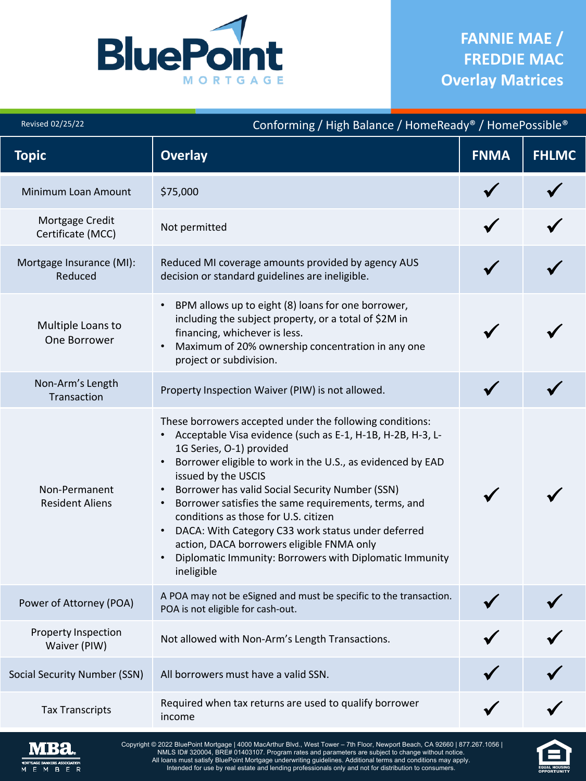

EQUAL HOUSING

| Revised 02/25/22                        | Conforming / High Balance / HomeReady® / HomePossible®                                                                                                                                                                                                                                                                                                                                                                                                                                                                                                                                             |             |              |  |  |
|-----------------------------------------|----------------------------------------------------------------------------------------------------------------------------------------------------------------------------------------------------------------------------------------------------------------------------------------------------------------------------------------------------------------------------------------------------------------------------------------------------------------------------------------------------------------------------------------------------------------------------------------------------|-------------|--------------|--|--|
| <b>Topic</b>                            | <b>Overlay</b>                                                                                                                                                                                                                                                                                                                                                                                                                                                                                                                                                                                     | <b>FNMA</b> | <b>FHLMC</b> |  |  |
| Minimum Loan Amount                     | \$75,000                                                                                                                                                                                                                                                                                                                                                                                                                                                                                                                                                                                           |             |              |  |  |
| Mortgage Credit<br>Certificate (MCC)    | Not permitted                                                                                                                                                                                                                                                                                                                                                                                                                                                                                                                                                                                      |             |              |  |  |
| Mortgage Insurance (MI):<br>Reduced     | Reduced MI coverage amounts provided by agency AUS<br>decision or standard guidelines are ineligible.                                                                                                                                                                                                                                                                                                                                                                                                                                                                                              |             |              |  |  |
| Multiple Loans to<br>One Borrower       | BPM allows up to eight (8) loans for one borrower,<br>$\bullet$<br>including the subject property, or a total of \$2M in<br>financing, whichever is less.<br>Maximum of 20% ownership concentration in any one<br>project or subdivision.                                                                                                                                                                                                                                                                                                                                                          |             |              |  |  |
| Non-Arm's Length<br>Transaction         | Property Inspection Waiver (PIW) is not allowed.                                                                                                                                                                                                                                                                                                                                                                                                                                                                                                                                                   |             |              |  |  |
| Non-Permanent<br><b>Resident Aliens</b> | These borrowers accepted under the following conditions:<br>• Acceptable Visa evidence (such as E-1, H-1B, H-2B, H-3, L-<br>1G Series, O-1) provided<br>Borrower eligible to work in the U.S., as evidenced by EAD<br>issued by the USCIS<br>Borrower has valid Social Security Number (SSN)<br>Borrower satisfies the same requirements, terms, and<br>$\bullet$<br>conditions as those for U.S. citizen<br>DACA: With Category C33 work status under deferred<br>$\bullet$<br>action, DACA borrowers eligible FNMA only<br>Diplomatic Immunity: Borrowers with Diplomatic Immunity<br>ineligible |             |              |  |  |
| Power of Attorney (POA)                 | A POA may not be eSigned and must be specific to the transaction.<br>POA is not eligible for cash-out.                                                                                                                                                                                                                                                                                                                                                                                                                                                                                             |             |              |  |  |
| Property Inspection<br>Waiver (PIW)     | Not allowed with Non-Arm's Length Transactions.                                                                                                                                                                                                                                                                                                                                                                                                                                                                                                                                                    |             |              |  |  |
| Social Security Number (SSN)            | All borrowers must have a valid SSN.                                                                                                                                                                                                                                                                                                                                                                                                                                                                                                                                                               |             |              |  |  |
| <b>Tax Transcripts</b>                  | Required when tax returns are used to qualify borrower<br>income                                                                                                                                                                                                                                                                                                                                                                                                                                                                                                                                   |             |              |  |  |
|                                         | Copyright © 2022 BluePoint Mortgage   4000 MacArthur Blvd., West Tower - 7th Floor, Newport Beach, CA 92660   877.267.1056  <br>NMLS ID# 320004, BRE# 01403107. Program rates and parameters are subject to change without notice.<br>All loans must satisfy BluePoint Mortgage underwriting guidelines. Additional terms and conditions may apply.                                                                                                                                                                                                                                                |             |              |  |  |

Intended for use by real estate and lending professionals only and not for distribution to consumers.

MORTGAGE BANKERS ASSOCIATION<br>M E M B E R